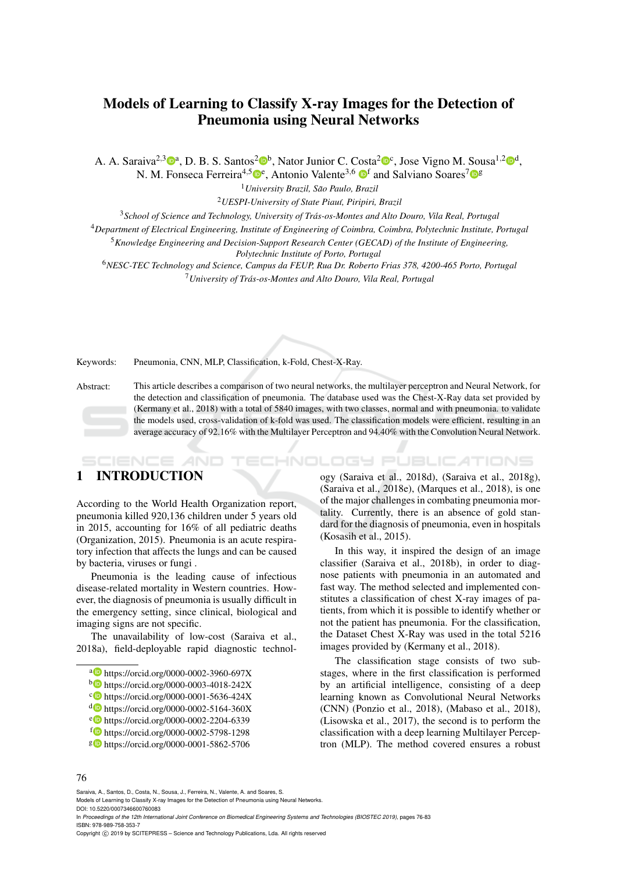# Models of Learning to Classify X-ray Images for the Detection of Pneumonia using Neural Networks

A. A. Saraiva<sup>2,3</sup><sup>®</sup>, D. B. S. Santos<sup>2</sup><sup>®</sup>, Nator Junior C. Costa<sup>2</sup><sup>®</sup>c, Jose Vigno M. Sousa<sup>1,2</sup><sup>®</sup>,

N. M. Fonseca Ferreira<sup>4,5</sup> D<sup>e</sup>, Antonio Valente<sup>3,6</sup> D<sup>f</sup> and Salviano Soares<sup>7</sup> D<sup>g</sup>

<sup>1</sup>*University Brazil, Sao Paulo, Brazil ˜*

<sup>2</sup>*UESPI-University of State Piau´ı, Piripiri, Brazil*

<sup>3</sup>*School of Science and Technology, University of Tras-os-Montes and Alto Douro, Vila Real, Portugal ´*

<sup>4</sup>*Department of Electrical Engineering, Institute of Engineering of Coimbra, Coimbra, Polytechnic Institute, Portugal*

<sup>5</sup>*Knowledge Engineering and Decision-Support Research Center (GECAD) of the Institute of Engineering,*

*Polytechnic Institute of Porto, Portugal*

<sup>6</sup>*NESC-TEC Technology and Science, Campus da FEUP, Rua Dr. Roberto Frias 378, 4200-465 Porto, Portugal* <sup>7</sup>*University of Tras-os-Montes and Alto Douro, Vila Real, Portugal ´*

Keywords: Pneumonia, CNN, MLP, Classification, k-Fold, Chest-X-Ray.

Abstract: This article describes a comparison of two neural networks, the multilayer perceptron and Neural Network, for the detection and classification of pneumonia. The database used was the Chest-X-Ray data set provided by (Kermany et al., 2018) with a total of 5840 images, with two classes, normal and with pneumonia. to validate the models used, cross-validation of k-fold was used. The classification models were efficient, resulting in an average accuracy of 92.16% with the Multilayer Perceptron and 94.40% with the Convolution Neural Network.

# 1 INTRODUCTION

SCIENCE *A*ND

According to the World Health Organization report, pneumonia killed 920,136 children under 5 years old in 2015, accounting for 16% of all pediatric deaths (Organization, 2015). Pneumonia is an acute respiratory infection that affects the lungs and can be caused by bacteria, viruses or fungi .

Pneumonia is the leading cause of infectious disease-related mortality in Western countries. However, the diagnosis of pneumonia is usually difficult in the emergency setting, since clinical, biological and imaging signs are not specific.

The unavailability of low-cost (Saraiva et al., 2018a), field-deployable rapid diagnostic technol-

- a https://orcid.org/0000-0002-3960-697X
- <sup>b</sup> https://orcid.org/0000-0003-4018-242X
- c https://orcid.org/0000-0001-5636-424X
- <sup>d</sup> https://orcid.org/0000-0002-5164-360X
- <sup>e</sup> https://orcid.org/0000-0002-2204-6339
- <sup>f</sup> https://orcid.org/0000-0002-5798-1298
- <sup>g</sup> https://orcid.org/0000-0001-5862-5706

ogy (Saraiva et al., 2018d), (Saraiva et al., 2018g), (Saraiva et al., 2018e), (Marques et al., 2018), is one of the major challenges in combating pneumonia mortality. Currently, there is an absence of gold standard for the diagnosis of pneumonia, even in hospitals (Kosasih et al., 2015).

HNOLOGY PUBLICATIONS

In this way, it inspired the design of an image classifier (Saraiva et al., 2018b), in order to diagnose patients with pneumonia in an automated and fast way. The method selected and implemented constitutes a classification of chest X-ray images of patients, from which it is possible to identify whether or not the patient has pneumonia. For the classification, the Dataset Chest X-Ray was used in the total 5216 images provided by (Kermany et al., 2018).

The classification stage consists of two substages, where in the first classification is performed by an artificial intelligence, consisting of a deep learning known as Convolutional Neural Networks (CNN) (Ponzio et al., 2018), (Mabaso et al., 2018), (Lisowska et al., 2017), the second is to perform the classification with a deep learning Multilayer Perceptron (MLP). The method covered ensures a robust

Saraiva, A., Santos, D., Costa, N., Sousa, J., Ferreira, N., Valente, A. and Soares, S.

In *Proceedings of the 12th International Joint Conference on Biomedical Engineering Systems and Technologies (BIOSTEC 2019)*, pages 76-83 ISBN: 978-989-758-353-7

Models of Learning to Classify X-ray Images for the Detection of Pneumonia using Neural Networks. DOI: 10.5220/0007346600760083

Copyright © 2019 by SCITEPRESS - Science and Technology Publications, Lda. All rights reserved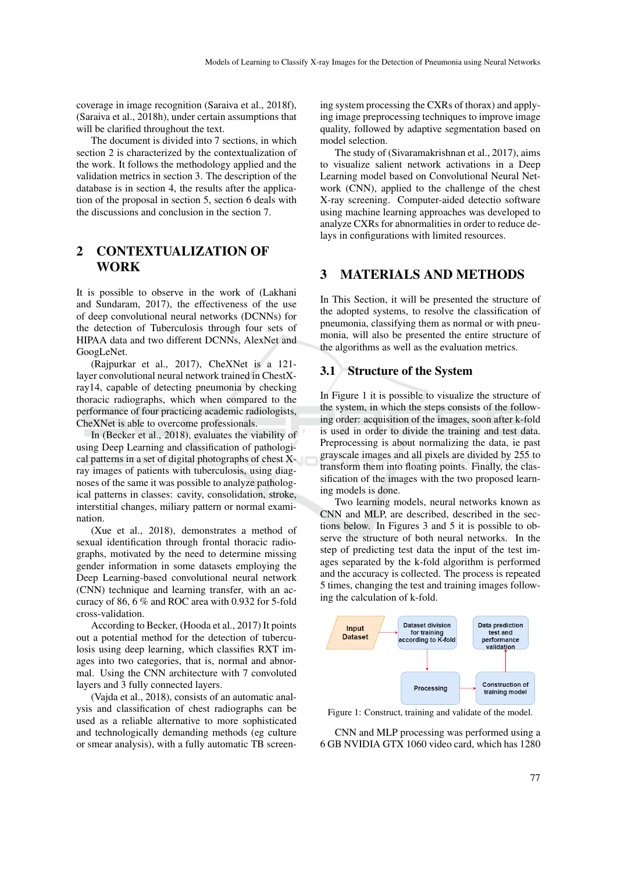coverage in image recognition (Saraiva et al., 2018f), (Saraiva et al., 2018h), under certain assumptions that will be clarified throughout the text.

The document is divided into 7 sections, in which section 2 is characterized by the contextualization of the work. It follows the methodology applied and the validation metrics in section 3. The description of the database is in section 4, the results after the application of the proposal in section 5, section 6 deals with the discussions and conclusion in the section 7.

# 2 CONTEXTUALIZATION OF WORK

It is possible to observe in the work of (Lakhani and Sundaram, 2017), the effectiveness of the use of deep convolutional neural networks (DCNNs) for the detection of Tuberculosis through four sets of HIPAA data and two different DCNNs, AlexNet and GoogLeNet.

(Rajpurkar et al., 2017), CheXNet is a 121 layer convolutional neural network trained in ChestXray14, capable of detecting pneumonia by checking thoracic radiographs, which when compared to the performance of four practicing academic radiologists, CheXNet is able to overcome professionals.

In (Becker et al., 2018), evaluates the viability of using Deep Learning and classification of pathological patterns in a set of digital photographs of chest Xray images of patients with tuberculosis, using diagnoses of the same it was possible to analyze pathological patterns in classes: cavity, consolidation, stroke, interstitial changes, miliary pattern or normal examination.

(Xue et al., 2018), demonstrates a method of sexual identification through frontal thoracic radiographs, motivated by the need to determine missing gender information in some datasets employing the Deep Learning-based convolutional neural network (CNN) technique and learning transfer, with an accuracy of 86, 6 % and ROC area with 0.932 for 5-fold cross-validation.

According to Becker, (Hooda et al., 2017) It points out a potential method for the detection of tuberculosis using deep learning, which classifies RXT images into two categories, that is, normal and abnormal. Using the CNN architecture with 7 convoluted layers and 3 fully connected layers.

(Vajda et al., 2018), consists of an automatic analysis and classification of chest radiographs can be used as a reliable alternative to more sophisticated and technologically demanding methods (eg culture or smear analysis), with a fully automatic TB screen-

ing system processing the CXRs of thorax) and applying image preprocessing techniques to improve image quality, followed by adaptive segmentation based on model selection.

The study of (Sivaramakrishnan et al., 2017), aims to visualize salient network activations in a Deep Learning model based on Convolutional Neural Network (CNN), applied to the challenge of the chest X-ray screening. Computer-aided detectio software using machine learning approaches was developed to analyze CXRs for abnormalities in order to reduce delays in configurations with limited resources.

## 3 MATERIALS AND METHODS

In This Section, it will be presented the structure of the adopted systems, to resolve the classification of pneumonia, classifying them as normal or with pneumonia, will also be presented the entire structure of the algorithms as well as the evaluation metrics.

### 3.1 Structure of the System

In Figure 1 it is possible to visualize the structure of the system, in which the steps consists of the following order: acquisition of the images, soon after k-fold is used in order to divide the training and test data. Preprocessing is about normalizing the data, ie past grayscale images and all pixels are divided by 255 to transform them into floating points. Finally, the classification of the images with the two proposed learning models is done.

Two learning models, neural networks known as CNN and MLP, are described, described in the sections below. In Figures 3 and 5 it is possible to observe the structure of both neural networks. In the step of predicting test data the input of the test images separated by the k-fold algorithm is performed and the accuracy is collected. The process is repeated 5 times, changing the test and training images following the calculation of k-fold.



Figure 1: Construct, training and validate of the model.

CNN and MLP processing was performed using a 6 GB NVIDIA GTX 1060 video card, which has 1280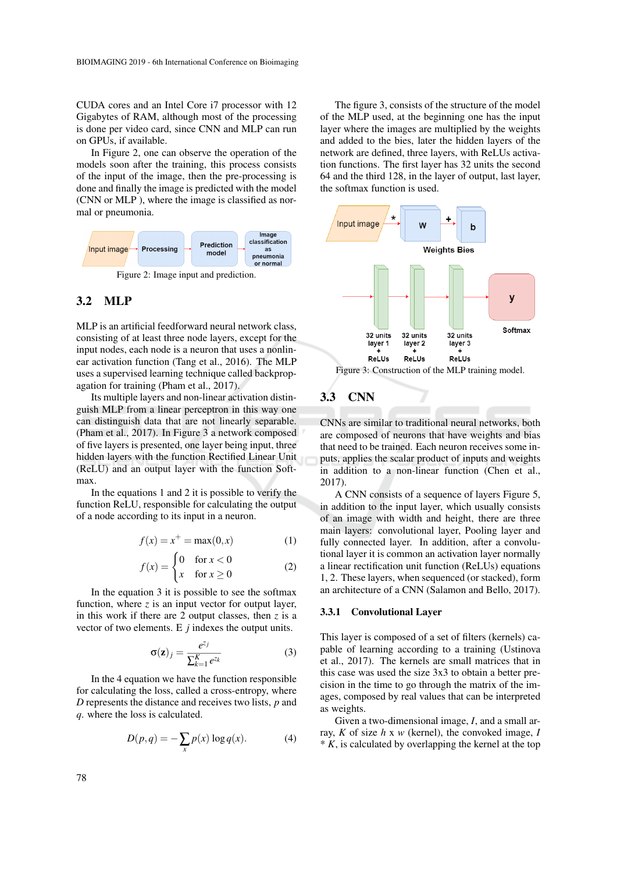CUDA cores and an Intel Core i7 processor with 12 Gigabytes of RAM, although most of the processing is done per video card, since CNN and MLP can run on GPUs, if available.

In Figure 2, one can observe the operation of the models soon after the training, this process consists of the input of the image, then the pre-processing is done and finally the image is predicted with the model (CNN or MLP ), where the image is classified as normal or pneumonia.



Figure 2: Image input and prediction.

## 3.2 MLP

MLP is an artificial feedforward neural network class, consisting of at least three node layers, except for the input nodes, each node is a neuron that uses a nonlinear activation function (Tang et al., 2016). The MLP uses a supervised learning technique called backpropagation for training (Pham et al., 2017).

Its multiple layers and non-linear activation distinguish MLP from a linear perceptron in this way one can distinguish data that are not linearly separable. (Pham et al., 2017). In Figure 3 a network composed of five layers is presented, one layer being input, three hidden layers with the function Rectified Linear Unit (ReLU) and an output layer with the function Softmax.

In the equations 1 and 2 it is possible to verify the function ReLU, responsible for calculating the output of a node according to its input in a neuron.

$$
f(x) = x^{+} = \max(0, x)
$$
 (1)

$$
f(x) = \begin{cases} 0 & \text{for } x < 0\\ x & \text{for } x \ge 0 \end{cases}
$$
 (2)

In the equation 3 it is possible to see the softmax function, where *z* is an input vector for output layer, in this work if there are 2 output classes, then *z* is a vector of two elements. E *j* indexes the output units.

$$
\sigma(\mathbf{z})_j = \frac{e^{z_j}}{\sum_{k=1}^K e^{z_k}}
$$
 (3)

In the 4 equation we have the function responsible for calculating the loss, called a cross-entropy, where *D* represents the distance and receives two lists, *p* and *q*. where the loss is calculated.

$$
D(p,q) = -\sum_{x} p(x) \log q(x).
$$
 (4)

The figure 3, consists of the structure of the model of the MLP used, at the beginning one has the input layer where the images are multiplied by the weights and added to the bies, later the hidden layers of the network are defined, three layers, with ReLUs activation functions. The first layer has 32 units the second 64 and the third 128, in the layer of output, last layer, the softmax function is used.



Figure 3: Construction of the MLP training model.

# 3.3 CNN

CNNs are similar to traditional neural networks, both are composed of neurons that have weights and bias that need to be trained. Each neuron receives some inputs, applies the scalar product of inputs and weights in addition to a non-linear function (Chen et al., 2017).

A CNN consists of a sequence of layers Figure 5, in addition to the input layer, which usually consists of an image with width and height, there are three main layers: convolutional layer, Pooling layer and fully connected layer. In addition, after a convolutional layer it is common an activation layer normally a linear rectification unit function (ReLUs) equations 1, 2. These layers, when sequenced (or stacked), form an architecture of a CNN (Salamon and Bello, 2017).

#### 3.3.1 Convolutional Layer

This layer is composed of a set of filters (kernels) capable of learning according to a training (Ustinova et al., 2017). The kernels are small matrices that in this case was used the size 3x3 to obtain a better precision in the time to go through the matrix of the images, composed by real values that can be interpreted as weights.

Given a two-dimensional image, *I*, and a small array, *K* of size *h* x *w* (kernel), the convoked image, *I*  $* K$ , is calculated by overlapping the kernel at the top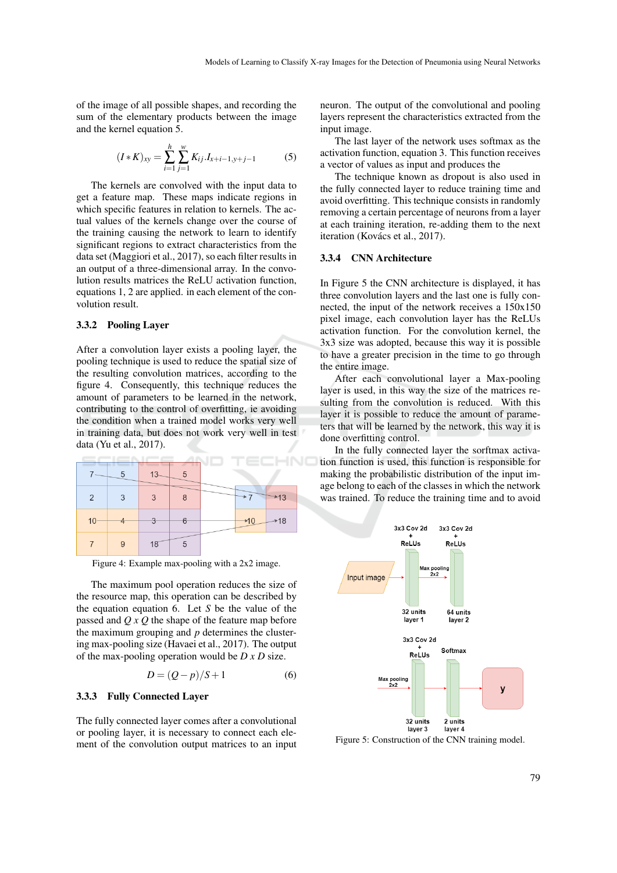of the image of all possible shapes, and recording the sum of the elementary products between the image and the kernel equation 5.

$$
(I*K)_{xy} = \sum_{i=1}^{h} \sum_{j=1}^{w} K_{ij} I_{x+i-1,y+j-1}
$$
 (5)

The kernels are convolved with the input data to get a feature map. These maps indicate regions in which specific features in relation to kernels. The actual values of the kernels change over the course of the training causing the network to learn to identify significant regions to extract characteristics from the data set (Maggiori et al., 2017), so each filter results in an output of a three-dimensional array. In the convolution results matrices the ReLU activation function, equations 1, 2 are applied. in each element of the convolution result.

#### 3.3.2 Pooling Layer

After a convolution layer exists a pooling layer, the pooling technique is used to reduce the spatial size of the resulting convolution matrices, according to the figure 4. Consequently, this technique reduces the amount of parameters to be learned in the network, contributing to the control of overfitting, ie avoiding the condition when a trained model works very well in training data, but does not work very well in test data (Yu et al., 2017).



Figure 4: Example max-pooling with a 2x2 image.

The maximum pool operation reduces the size of the resource map, this operation can be described by the equation equation 6. Let *S* be the value of the passed and *Q x Q* the shape of the feature map before the maximum grouping and *p* determines the clustering max-pooling size (Havaei et al., 2017). The output of the max-pooling operation would be *D x D* size.

$$
D = (Q - p)/S + 1 \tag{6}
$$

#### 3.3.3 Fully Connected Layer

The fully connected layer comes after a convolutional or pooling layer, it is necessary to connect each element of the convolution output matrices to an input neuron. The output of the convolutional and pooling layers represent the characteristics extracted from the input image.

The last layer of the network uses softmax as the activation function, equation 3. This function receives a vector of values as input and produces the

The technique known as dropout is also used in the fully connected layer to reduce training time and avoid overfitting. This technique consists in randomly removing a certain percentage of neurons from a layer at each training iteration, re-adding them to the next iteration (Kovács et al., 2017).

#### 3.3.4 CNN Architecture

In Figure 5 the CNN architecture is displayed, it has three convolution layers and the last one is fully connected, the input of the network receives a 150x150 pixel image, each convolution layer has the ReLUs activation function. For the convolution kernel, the 3x3 size was adopted, because this way it is possible to have a greater precision in the time to go through the entire image.

After each convolutional layer a Max-pooling layer is used, in this way the size of the matrices resulting from the convolution is reduced. With this layer it is possible to reduce the amount of parameters that will be learned by the network, this way it is done overfitting control.

In the fully connected layer the sorftmax activation function is used, this function is responsible for making the probabilistic distribution of the input image belong to each of the classes in which the network was trained. To reduce the training time and to avoid



Figure 5: Construction of the CNN training model.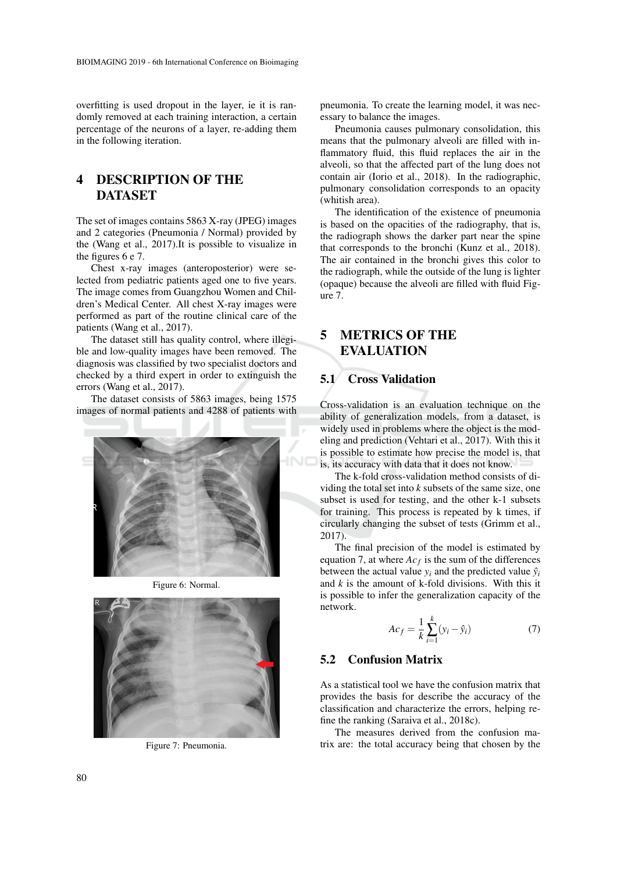overfitting is used dropout in the layer, ie it is randomly removed at each training interaction, a certain percentage of the neurons of a layer, re-adding them in the following iteration.

# 4 DESCRIPTION OF THE DATASET

The set of images contains 5863 X-ray (JPEG) images and 2 categories (Pneumonia / Normal) provided by the (Wang et al., 2017).It is possible to visualize in the figures 6 e 7.

Chest x-ray images (anteroposterior) were selected from pediatric patients aged one to five years. The image comes from Guangzhou Women and Children's Medical Center. All chest X-ray images were performed as part of the routine clinical care of the patients (Wang et al., 2017).

The dataset still has quality control, where illegible and low-quality images have been removed. The diagnosis was classified by two specialist doctors and checked by a third expert in order to extinguish the errors (Wang et al., 2017).

The dataset consists of 5863 images, being 1575 images of normal patients and 4288 of patients with



Figure 6: Normal.



Figure 7: Pneumonia.

pneumonia. To create the learning model, it was necessary to balance the images.

Pneumonia causes pulmonary consolidation, this means that the pulmonary alveoli are filled with inflammatory fluid, this fluid replaces the air in the alveoli, so that the affected part of the lung does not contain air (Iorio et al., 2018). In the radiographic, pulmonary consolidation corresponds to an opacity (whitish area).

The identification of the existence of pneumonia is based on the opacities of the radiography, that is, the radiograph shows the darker part near the spine that corresponds to the bronchi (Kunz et al., 2018). The air contained in the bronchi gives this color to the radiograph, while the outside of the lung is lighter (opaque) because the alveoli are filled with fluid Figure 7.

# 5 METRICS OF THE EVALUATION

### 5.1 Cross Validation

Cross-validation is an evaluation technique on the ability of generalization models, from a dataset, is widely used in problems where the object is the modeling and prediction (Vehtari et al., 2017). With this it is possible to estimate how precise the model is, that is, its accuracy with data that it does not know.

The k-fold cross-validation method consists of dividing the total set into *k* subsets of the same size, one subset is used for testing, and the other k-1 subsets for training. This process is repeated by k times, if circularly changing the subset of tests (Grimm et al., 2017).

The final precision of the model is estimated by equation 7, at where  $Ac_f$  is the sum of the differences between the actual value  $y_i$  and the predicted value  $\hat{y}_i$ and *k* is the amount of k-fold divisions. With this it is possible to infer the generalization capacity of the network.

$$
Ac_f = \frac{1}{k} \sum_{i=1}^{k} (y_i - \hat{y}_i)
$$
 (7)

### 5.2 Confusion Matrix

As a statistical tool we have the confusion matrix that provides the basis for describe the accuracy of the classification and characterize the errors, helping refine the ranking (Saraiva et al., 2018c).

The measures derived from the confusion matrix are: the total accuracy being that chosen by the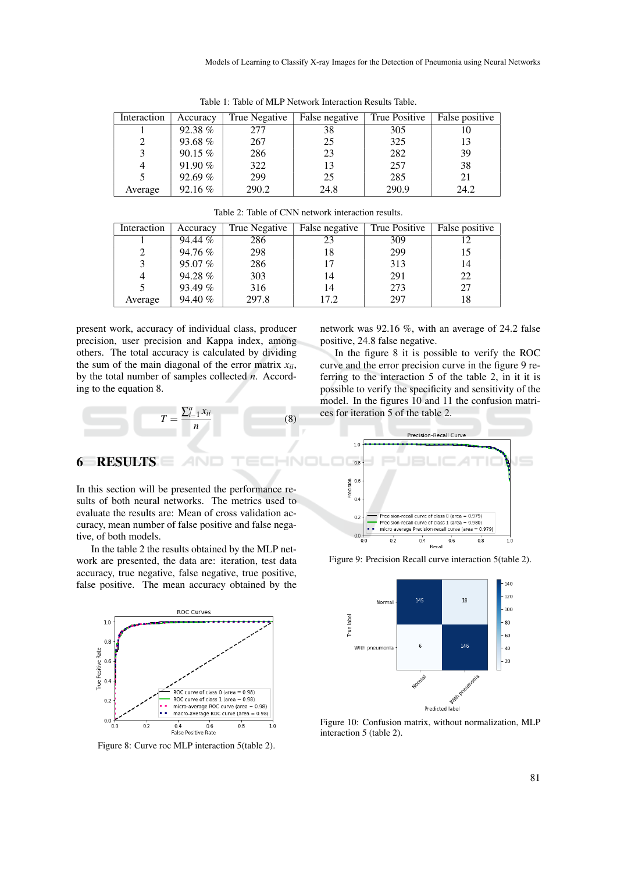| Interaction | Accuracy  | True Negative | False negative | True Positive | False positive |
|-------------|-----------|---------------|----------------|---------------|----------------|
|             | 92.38%    | 277           | 38             | 305           |                |
| 2           | 93.68%    | 267           | 25             | 325           | 13             |
|             | $90.15\%$ | 286           | 23             | 282           | 39             |
| 4           | 91.90 %   | 322           | 13             | 257           | 38             |
|             | 92.69%    | 299           | 25             | 285           | 21             |
| Average     | $92.16\%$ | 290.2         | 24.8           | 290.9         | 24.2           |

Table 1: Table of MLP Network Interaction Results Table.

| Interaction | Accuracy | True Negative | False negative | True Positive | False positive |
|-------------|----------|---------------|----------------|---------------|----------------|
|             | 94.44 %  | 286           | 23             | 309           |                |
|             | 94.76 %  | 298           | 18             | 299           | 15             |
|             | 95.07%   | 286           |                | 313           | 14             |
| 4           | 94.28%   | 303           | 14             | 291           | 22             |
|             | 93.49 %  | 316           | 14             | 273           | 27             |
| Average     | 94.40 %  | 297.8         | 17.2           | 297           | 18             |

Table 2: Table of CNN network interaction results.

present work, accuracy of individual class, producer precision, user precision and Kappa index, among others. The total accuracy is calculated by dividing the sum of the main diagonal of the error matrix *xii*, by the total number of samples collected *n*. According to the equation 8.

network was 92.16 %, with an average of 24.2 false positive, 24.8 false negative.

In the figure 8 it is possible to verify the ROC curve and the error precision curve in the figure 9 referring to the interaction 5 of the table 2, in it it is possible to verify the specificity and sensitivity of the model. In the figures 10 and 11 the confusion matrices for iteration 5 of the table 2.



## 6 RESULTS

In this section will be presented the performance results of both neural networks. The metrics used to evaluate the results are: Mean of cross validation accuracy, mean number of false positive and false negative, of both models.

In the table 2 the results obtained by the MLP network are presented, the data are: iteration, test data accuracy, true negative, false negative, true positive, false positive. The mean accuracy obtained by the



Figure 8: Curve roc MLP interaction 5(table 2).



Figure 9: Precision Recall curve interaction 5(table 2).



Figure 10: Confusion matrix, without normalization, MLP interaction 5 (table 2).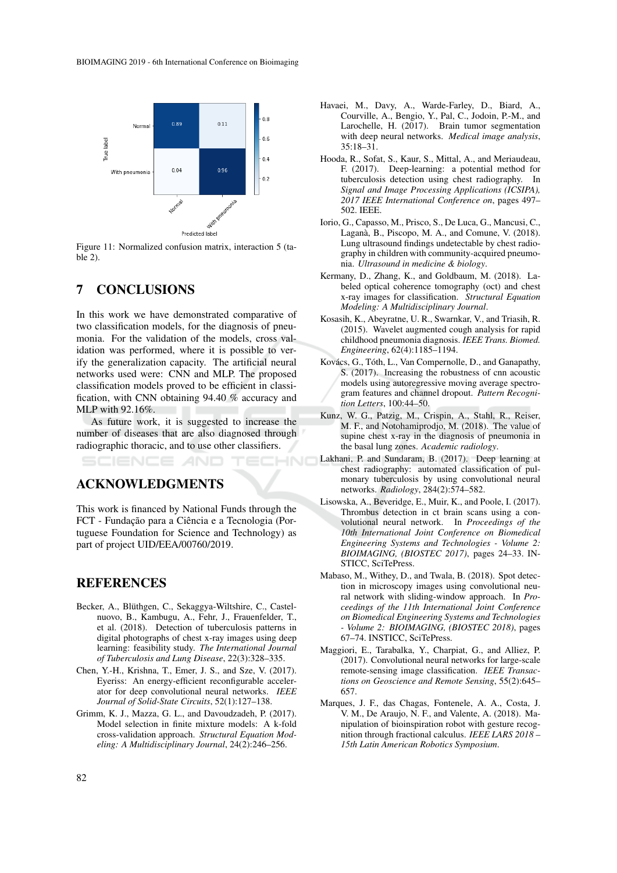

Figure 11: Normalized confusion matrix, interaction 5 (table 2).

## 7 CONCLUSIONS

In this work we have demonstrated comparative of two classification models, for the diagnosis of pneumonia. For the validation of the models, cross validation was performed, where it is possible to verify the generalization capacity. The artificial neural networks used were: CNN and MLP. The proposed classification models proved to be efficient in classification, with CNN obtaining 94.40 % accuracy and MLP with 92.16%.

As future work, it is suggested to increase the number of diseases that are also diagnosed through radiographic thoracic, and to use other classifiers.

HNI

## ACKNOWLEDGMENTS

This work is financed by National Funds through the FCT - Fundação para a Ciência e a Tecnologia (Portuguese Foundation for Science and Technology) as part of project UID/EEA/00760/2019.

### REFERENCES

- Becker, A., Blüthgen, C., Sekaggya-Wiltshire, C., Castelnuovo, B., Kambugu, A., Fehr, J., Frauenfelder, T., et al. (2018). Detection of tuberculosis patterns in digital photographs of chest x-ray images using deep learning: feasibility study. *The International Journal of Tuberculosis and Lung Disease*, 22(3):328–335.
- Chen, Y.-H., Krishna, T., Emer, J. S., and Sze, V. (2017). Eyeriss: An energy-efficient reconfigurable accelerator for deep convolutional neural networks. *IEEE Journal of Solid-State Circuits*, 52(1):127–138.
- Grimm, K. J., Mazza, G. L., and Davoudzadeh, P. (2017). Model selection in finite mixture models: A k-fold cross-validation approach. *Structural Equation Modeling: A Multidisciplinary Journal*, 24(2):246–256.
- Havaei, M., Davy, A., Warde-Farley, D., Biard, A., Courville, A., Bengio, Y., Pal, C., Jodoin, P.-M., and Larochelle, H. (2017). Brain tumor segmentation with deep neural networks. *Medical image analysis*, 35:18–31.
- Hooda, R., Sofat, S., Kaur, S., Mittal, A., and Meriaudeau, F. (2017). Deep-learning: a potential method for tuberculosis detection using chest radiography. In *Signal and Image Processing Applications (ICSIPA), 2017 IEEE International Conference on*, pages 497– 502. IEEE.
- Iorio, G., Capasso, M., Prisco, S., De Luca, G., Mancusi, C., Laganà, B., Piscopo, M. A., and Comune, V.  $(2018)$ . Lung ultrasound findings undetectable by chest radiography in children with community-acquired pneumonia. *Ultrasound in medicine & biology*.
- Kermany, D., Zhang, K., and Goldbaum, M. (2018). Labeled optical coherence tomography (oct) and chest x-ray images for classification. *Structural Equation Modeling: A Multidisciplinary Journal*.
- Kosasih, K., Abeyratne, U. R., Swarnkar, V., and Triasih, R. (2015). Wavelet augmented cough analysis for rapid childhood pneumonia diagnosis. *IEEE Trans. Biomed. Engineering*, 62(4):1185–1194.
- Kovács, G., Tóth, L., Van Compernolle, D., and Ganapathy, S. (2017). Increasing the robustness of cnn acoustic models using autoregressive moving average spectrogram features and channel dropout. *Pattern Recognition Letters*, 100:44–50.
- Kunz, W. G., Patzig, M., Crispin, A., Stahl, R., Reiser, M. F., and Notohamiprodjo, M. (2018). The value of supine chest x-ray in the diagnosis of pneumonia in the basal lung zones. *Academic radiology*.
- Lakhani, P. and Sundaram, B. (2017). Deep learning at chest radiography: automated classification of pulmonary tuberculosis by using convolutional neural networks. *Radiology*, 284(2):574–582.
- Lisowska, A., Beveridge, E., Muir, K., and Poole, I. (2017). Thrombus detection in ct brain scans using a convolutional neural network. In *Proceedings of the 10th International Joint Conference on Biomedical Engineering Systems and Technologies - Volume 2: BIOIMAGING, (BIOSTEC 2017)*, pages 24–33. IN-STICC, SciTePress.
- Mabaso, M., Withey, D., and Twala, B. (2018). Spot detection in microscopy images using convolutional neural network with sliding-window approach. In *Proceedings of the 11th International Joint Conference on Biomedical Engineering Systems and Technologies - Volume 2: BIOIMAGING, (BIOSTEC 2018)*, pages 67–74. INSTICC, SciTePress.
- Maggiori, E., Tarabalka, Y., Charpiat, G., and Alliez, P. (2017). Convolutional neural networks for large-scale remote-sensing image classification. *IEEE Transactions on Geoscience and Remote Sensing*, 55(2):645– 657.
- Marques, J. F., das Chagas, Fontenele, A. A., Costa, J. V. M., De Araujo, N. F., and Valente, A. (2018). Manipulation of bioinspiration robot with gesture recognition through fractional calculus. *IEEE LARS 2018 – 15th Latin American Robotics Symposium*.